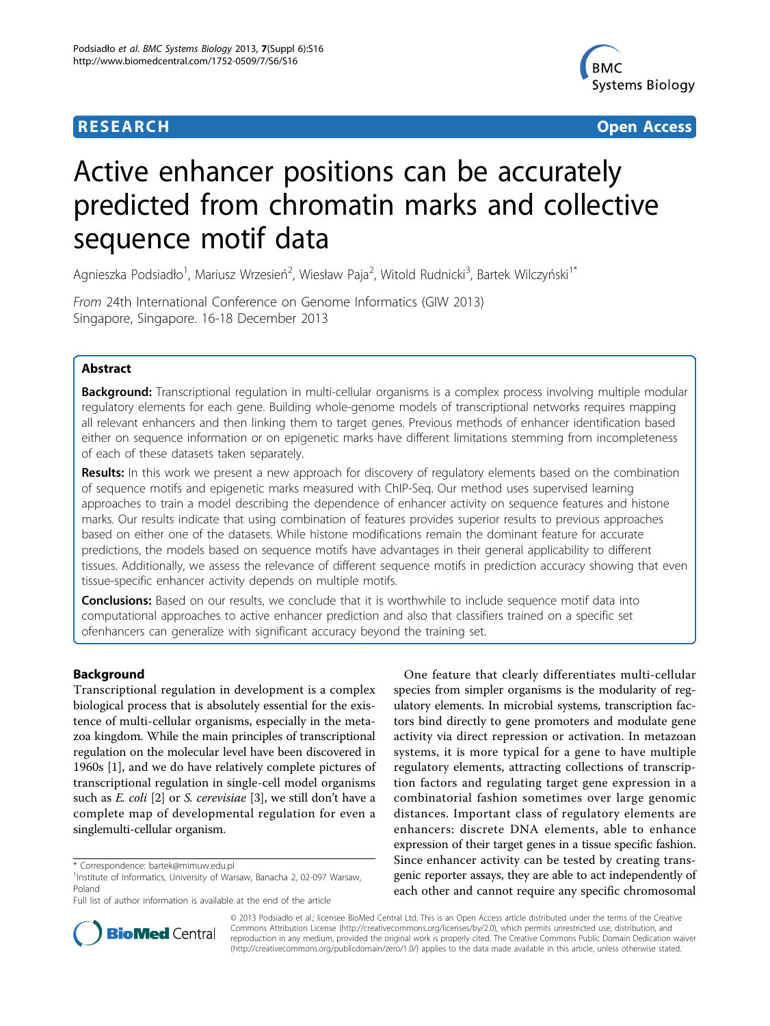# **RESEARCH CONTROL** CONTROL CONTROL CONTROL CONTROL CONTROL CONTROL CONTROL CONTROL CONTROL CONTROL CONTROL CONTROL



# Active enhancer positions can be accurately predicted from chromatin marks and collective sequence motif data

Agnieszka Podsiadło<sup>1</sup>, Mariusz Wrzesień<sup>2</sup>, Wiesław Paja<sup>2</sup>, Witold Rudnicki<sup>3</sup>, Bartek Wilczyński<sup>1\*</sup>

From 24th International Conference on Genome Informatics (GIW 2013) Singapore, Singapore. 16-18 December 2013

# Abstract

Background: Transcriptional regulation in multi-cellular organisms is a complex process involving multiple modular regulatory elements for each gene. Building whole-genome models of transcriptional networks requires mapping all relevant enhancers and then linking them to target genes. Previous methods of enhancer identification based either on sequence information or on epigenetic marks have different limitations stemming from incompleteness of each of these datasets taken separately.

Results: In this work we present a new approach for discovery of regulatory elements based on the combination of sequence motifs and epigenetic marks measured with ChIP-Seq. Our method uses supervised learning approaches to train a model describing the dependence of enhancer activity on sequence features and histone marks. Our results indicate that using combination of features provides superior results to previous approaches based on either one of the datasets. While histone modifications remain the dominant feature for accurate predictions, the models based on sequence motifs have advantages in their general applicability to different tissues. Additionally, we assess the relevance of different sequence motifs in prediction accuracy showing that even tissue-specific enhancer activity depends on multiple motifs.

**Conclusions:** Based on our results, we conclude that it is worthwhile to include sequence motif data into computational approaches to active enhancer prediction and also that classifiers trained on a specific set ofenhancers can generalize with significant accuracy beyond the training set.

# Background

Transcriptional regulation in development is a complex biological process that is absolutely essential for the existence of multi-cellular organisms, especially in the metazoa kingdom. While the main principles of transcriptional regulation on the molecular level have been discovered in 1960s [\[1](#page-6-0)], and we do have relatively complete pictures of transcriptional regulation in single-cell model organisms such as *E. coli* [[2\]](#page-6-0) or *S. cerevisiae* [[3](#page-6-0)], we still don't have a complete map of developmental regulation for even a singlemulti-cellular organism.

One feature that clearly differentiates multi-cellular species from simpler organisms is the modularity of regulatory elements. In microbial systems, transcription factors bind directly to gene promoters and modulate gene activity via direct repression or activation. In metazoan systems, it is more typical for a gene to have multiple regulatory elements, attracting collections of transcription factors and regulating target gene expression in a combinatorial fashion sometimes over large genomic distances. Important class of regulatory elements are enhancers: discrete DNA elements, able to enhance expression of their target genes in a tissue specific fashion. Since enhancer activity can be tested by creating transgenic reporter assays, they are able to act independently of each other and cannot require any specific chromosomal



© 2013 Podsiadło et al.; licensee BioMed Central Ltd. This is an Open Access article distributed under the terms of the Creative Commons Attribution License [\(http://creativecommons.org/licenses/by/2.0](http://creativecommons.org/licenses/by/2.0)), which permits unrestricted use, distribution, and reproduction in any medium, provided the original work is properly cited. The Creative Commons Public Domain Dedication waiver [\(http://creativecommons.org/publicdomain/zero/1.0/](http://creativecommons.org/publicdomain/zero/1.0/)) applies to the data made available in this article, unless otherwise stated.

<sup>\*</sup> Correspondence: [bartek@mimuw.edu.pl](mailto:bartek@mimuw.edu.pl)

<sup>&</sup>lt;sup>1</sup>Institute of Informatics, University of Warsaw, Banacha 2, 02-097 Warsaw, Poland

Full list of author information is available at the end of the article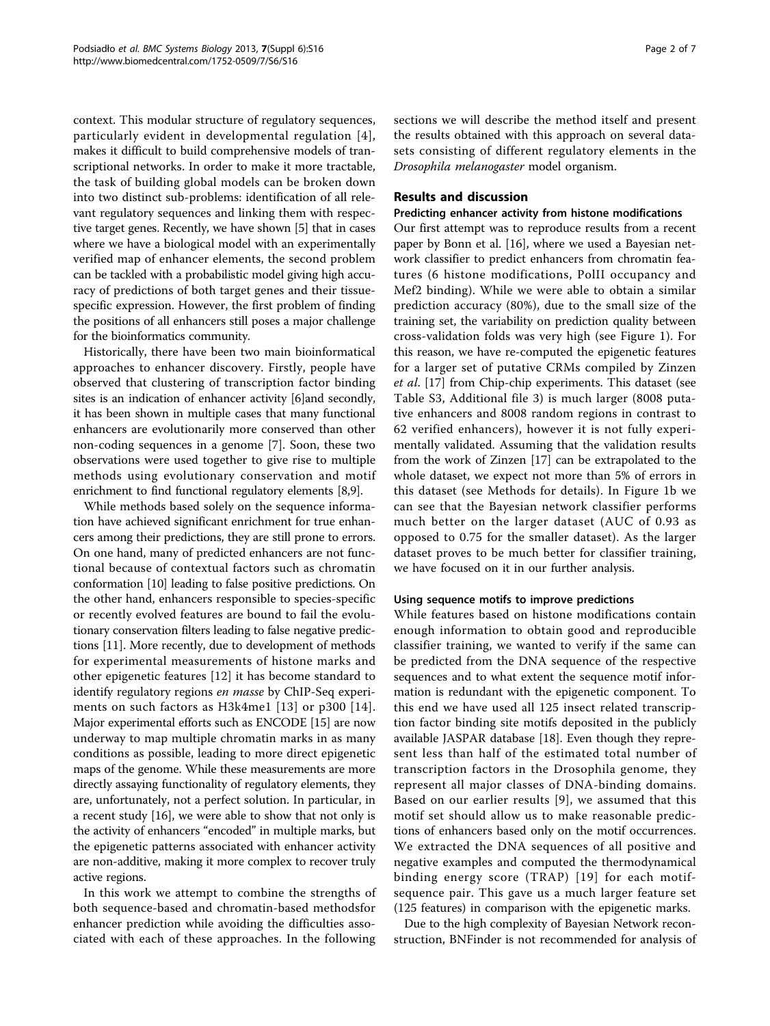context. This modular structure of regulatory sequences, particularly evident in developmental regulation [[4\]](#page-6-0), makes it difficult to build comprehensive models of transcriptional networks. In order to make it more tractable, the task of building global models can be broken down into two distinct sub-problems: identification of all relevant regulatory sequences and linking them with respective target genes. Recently, we have shown [[5\]](#page-6-0) that in cases where we have a biological model with an experimentally verified map of enhancer elements, the second problem can be tackled with a probabilistic model giving high accuracy of predictions of both target genes and their tissuespecific expression. However, the first problem of finding the positions of all enhancers still poses a major challenge for the bioinformatics community.

Historically, there have been two main bioinformatical approaches to enhancer discovery. Firstly, people have observed that clustering of transcription factor binding sites is an indication of enhancer activity [\[6](#page-6-0)]and secondly, it has been shown in multiple cases that many functional enhancers are evolutionarily more conserved than other non-coding sequences in a genome [[7](#page-6-0)]. Soon, these two observations were used together to give rise to multiple methods using evolutionary conservation and motif enrichment to find functional regulatory elements [\[8,9\]](#page-6-0).

While methods based solely on the sequence information have achieved significant enrichment for true enhancers among their predictions, they are still prone to errors. On one hand, many of predicted enhancers are not functional because of contextual factors such as chromatin conformation [[10](#page-6-0)] leading to false positive predictions. On the other hand, enhancers responsible to species-specific or recently evolved features are bound to fail the evolutionary conservation filters leading to false negative predictions [\[11](#page-6-0)]. More recently, due to development of methods for experimental measurements of histone marks and other epigenetic features [[12](#page-6-0)] it has become standard to identify regulatory regions en masse by ChIP-Seq experiments on such factors as H3k4me1 [[13](#page-6-0)] or p300 [[14\]](#page-6-0). Major experimental efforts such as ENCODE [\[15\]](#page-6-0) are now underway to map multiple chromatin marks in as many conditions as possible, leading to more direct epigenetic maps of the genome. While these measurements are more directly assaying functionality of regulatory elements, they are, unfortunately, not a perfect solution. In particular, in a recent study [\[16\]](#page-6-0), we were able to show that not only is the activity of enhancers "encoded" in multiple marks, but the epigenetic patterns associated with enhancer activity are non-additive, making it more complex to recover truly active regions.

In this work we attempt to combine the strengths of both sequence-based and chromatin-based methodsfor enhancer prediction while avoiding the difficulties associated with each of these approaches. In the following sections we will describe the method itself and present the results obtained with this approach on several datasets consisting of different regulatory elements in the Drosophila melanogaster model organism.

# Results and discussion

# Predicting enhancer activity from histone modifications

Our first attempt was to reproduce results from a recent paper by Bonn et al. [\[16](#page-6-0)], where we used a Bayesian network classifier to predict enhancers from chromatin features (6 histone modifications, PolII occupancy and Mef2 binding). While we were able to obtain a similar prediction accuracy (80%), due to the small size of the training set, the variability on prediction quality between cross-validation folds was very high (see Figure [1](#page-2-0)). For this reason, we have re-computed the epigenetic features for a larger set of putative CRMs compiled by Zinzen et al. [[17](#page-6-0)] from Chip-chip experiments. This dataset (see Table S3, Additional file [3](#page-5-0)) is much larger (8008 putative enhancers and 8008 random regions in contrast to 62 verified enhancers), however it is not fully experimentally validated. Assuming that the validation results from the work of Zinzen [[17\]](#page-6-0) can be extrapolated to the whole dataset, we expect not more than 5% of errors in this dataset (see Methods for details). In Figure [1b](#page-2-0) we can see that the Bayesian network classifier performs much better on the larger dataset (AUC of 0.93 as opposed to 0.75 for the smaller dataset). As the larger dataset proves to be much better for classifier training, we have focused on it in our further analysis.

## Using sequence motifs to improve predictions

While features based on histone modifications contain enough information to obtain good and reproducible classifier training, we wanted to verify if the same can be predicted from the DNA sequence of the respective sequences and to what extent the sequence motif information is redundant with the epigenetic component. To this end we have used all 125 insect related transcription factor binding site motifs deposited in the publicly available JASPAR database [\[18\]](#page-6-0). Even though they represent less than half of the estimated total number of transcription factors in the Drosophila genome, they represent all major classes of DNA-binding domains. Based on our earlier results [\[9](#page-6-0)], we assumed that this motif set should allow us to make reasonable predictions of enhancers based only on the motif occurrences. We extracted the DNA sequences of all positive and negative examples and computed the thermodynamical binding energy score (TRAP) [[19\]](#page-6-0) for each motifsequence pair. This gave us a much larger feature set (125 features) in comparison with the epigenetic marks.

Due to the high complexity of Bayesian Network reconstruction, BNFinder is not recommended for analysis of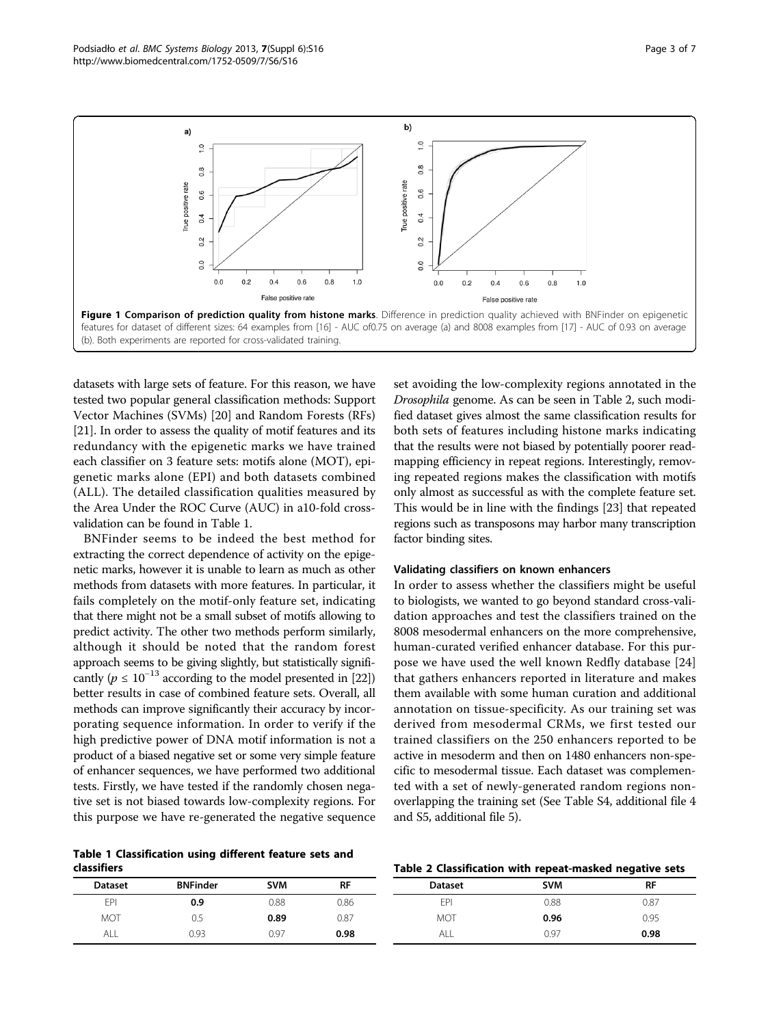<span id="page-2-0"></span>Podsiadł<sup>o</sup> et al. BMC Systems Biology 2013, <sup>7</sup>(Suppl 6):S16 http://www.biomedcentral.com/1752-0509/7/S6/S16



datasets with large sets of feature. For this reason, we have tested two popular general classification methods: Support Vector Machines (SVMs) [\[20](#page-6-0)] and Random Forests (RFs) [[21](#page-6-0)]. In order to assess the quality of motif features and its redundancy with the epigenetic marks we have trained each classifier on 3 feature sets: motifs alone (MOT), epigenetic marks alone (EPI) and both datasets combined (ALL). The detailed classification qualities measured by the Area Under the ROC Curve (AUC) in a10-fold crossvalidation can be found in Table 1.

BNFinder seems to be indeed the best method for extracting the correct dependence of activity on the epigenetic marks, however it is unable to learn as much as other methods from datasets with more features. In particular, it fails completely on the motif-only feature set, indicating that there might not be a small subset of motifs allowing to predict activity. The other two methods perform similarly, although it should be noted that the random forest approach seems to be giving slightly, but statistically significantly ( $p \le 10^{-13}$  according to the model presented in [\[22](#page-6-0)]) better results in case of combined feature sets. Overall, all methods can improve significantly their accuracy by incorporating sequence information. In order to verify if the high predictive power of DNA motif information is not a product of a biased negative set or some very simple feature of enhancer sequences, we have performed two additional tests. Firstly, we have tested if the randomly chosen negative set is not biased towards low-complexity regions. For this purpose we have re-generated the negative sequence

Table 1 Classification using different feature sets and classifiers

set avoiding the low-complexity regions annotated in the Drosophila genome. As can be seen in Table 2, such modified dataset gives almost the same classification results for both sets of features including histone marks indicating that the results were not biased by potentially poorer readmapping efficiency in repeat regions. Interestingly, removing repeated regions makes the classification with motifs only almost as successful as with the complete feature set. This would be in line with the findings [\[23](#page-6-0)] that repeated regions such as transposons may harbor many transcription factor binding sites.

#### Validating classifiers on known enhancers

In order to assess whether the classifiers might be useful to biologists, we wanted to go beyond standard cross-validation approaches and test the classifiers trained on the 8008 mesodermal enhancers on the more comprehensive, human-curated verified enhancer database. For this purpose we have used the well known Redfly database [\[24](#page-6-0)] that gathers enhancers reported in literature and makes them available with some human curation and additional annotation on tissue-specificity. As our training set was derived from mesodermal CRMs, we first tested our trained classifiers on the 250 enhancers reported to be active in mesoderm and then on 1480 enhancers non-specific to mesodermal tissue. Each dataset was complemented with a set of newly-generated random regions nonoverlapping the training set (See Table S4, additional file [4](#page-5-0) and S5, additional file [5](#page-6-0)).

# Table 2 Classification with repeat-masked negative sets

| <b>Dataset</b> | <b>BNFinder</b> | <b>SVM</b> | <b>RF</b> | <b>Dataset</b> | <b>SVM</b> | RF   |
|----------------|-----------------|------------|-----------|----------------|------------|------|
| EPI            | 0.9             | 0.88       | 0.86      | EPI            | 0.88       | 0.87 |
| <b>MOT</b>     | 0.5             | 0.89       | 0.87      | <b>MOT</b>     | 0.96       | 0.95 |
| ALL            | 0.93            | 0.97       | 0.98      | ALL            | 0.97       | 0.98 |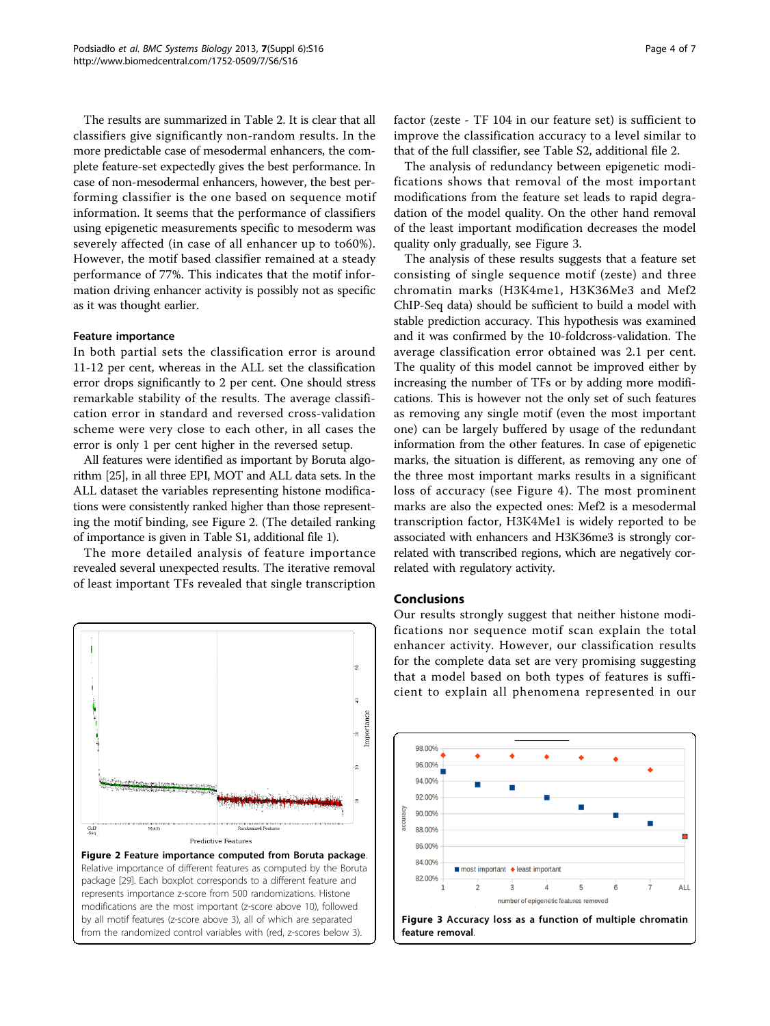The results are summarized in Table [2.](#page-2-0) It is clear that all classifiers give significantly non-random results. In the more predictable case of mesodermal enhancers, the complete feature-set expectedly gives the best performance. In case of non-mesodermal enhancers, however, the best performing classifier is the one based on sequence motif information. It seems that the performance of classifiers using epigenetic measurements specific to mesoderm was severely affected (in case of all enhancer up to to60%). However, the motif based classifier remained at a steady performance of 77%. This indicates that the motif information driving enhancer activity is possibly not as specific as it was thought earlier.

# Feature importance

In both partial sets the classification error is around 11-12 per cent, whereas in the ALL set the classification error drops significantly to 2 per cent. One should stress remarkable stability of the results. The average classification error in standard and reversed cross-validation scheme were very close to each other, in all cases the error is only 1 per cent higher in the reversed setup.

All features were identified as important by Boruta algorithm [[25\]](#page-6-0), in all three EPI, MOT and ALL data sets. In the ALL dataset the variables representing histone modifications were consistently ranked higher than those representing the motif binding, see Figure 2. (The detailed ranking of importance is given in Table S1, additional file [1](#page-5-0)).

The more detailed analysis of feature importance revealed several unexpected results. The iterative removal of least important TFs revealed that single transcription



factor (zeste - TF 104 in our feature set) is sufficient to improve the classification accuracy to a level similar to that of the full classifier, see Table S2, additional file [2.](#page-5-0)

The analysis of redundancy between epigenetic modifications shows that removal of the most important modifications from the feature set leads to rapid degradation of the model quality. On the other hand removal of the least important modification decreases the model quality only gradually, see Figure 3.

The analysis of these results suggests that a feature set consisting of single sequence motif (zeste) and three chromatin marks (H3K4me1, H3K36Me3 and Mef2 ChIP-Seq data) should be sufficient to build a model with stable prediction accuracy. This hypothesis was examined and it was confirmed by the 10-foldcross-validation. The average classification error obtained was 2.1 per cent. The quality of this model cannot be improved either by increasing the number of TFs or by adding more modifications. This is however not the only set of such features as removing any single motif (even the most important one) can be largely buffered by usage of the redundant information from the other features. In case of epigenetic marks, the situation is different, as removing any one of the three most important marks results in a significant loss of accuracy (see Figure [4\)](#page-4-0). The most prominent marks are also the expected ones: Mef2 is a mesodermal transcription factor, H3K4Me1 is widely reported to be associated with enhancers and H3K36me3 is strongly correlated with transcribed regions, which are negatively correlated with regulatory activity.

# Conclusions

Our results strongly suggest that neither histone modifications nor sequence motif scan explain the total enhancer activity. However, our classification results for the complete data set are very promising suggesting that a model based on both types of features is sufficient to explain all phenomena represented in our

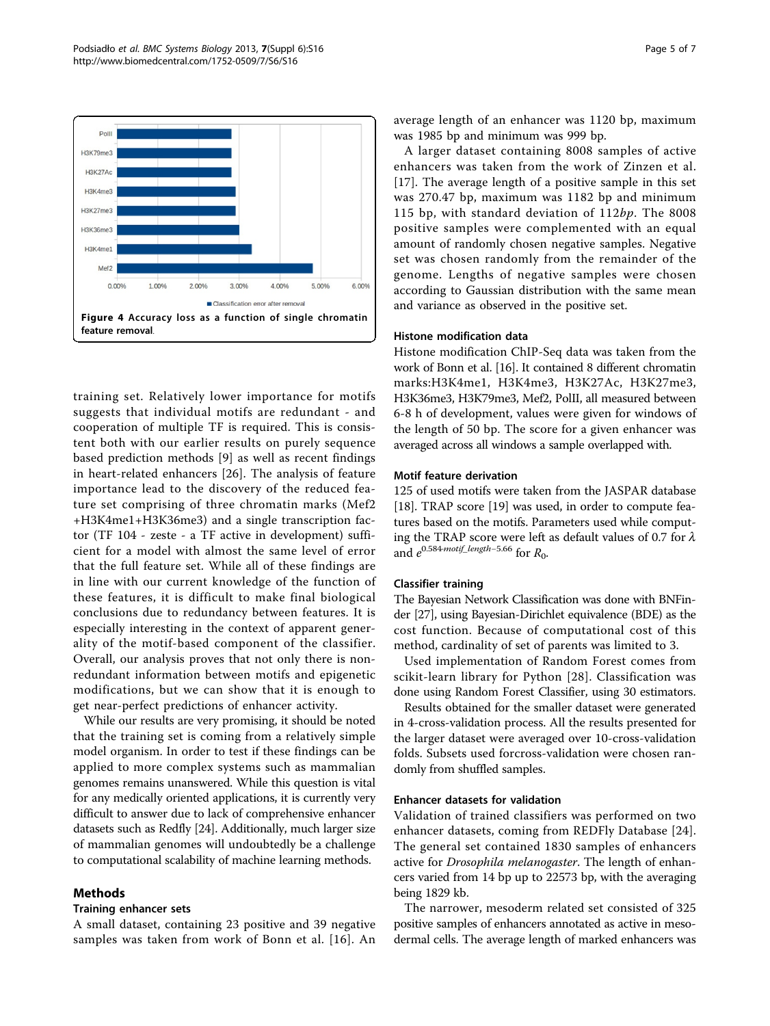<span id="page-4-0"></span>

training set. Relatively lower importance for motifs suggests that individual motifs are redundant - and cooperation of multiple TF is required. This is consistent both with our earlier results on purely sequence based prediction methods [\[9](#page-6-0)] as well as recent findings in heart-related enhancers [[26\]](#page-6-0). The analysis of feature importance lead to the discovery of the reduced feature set comprising of three chromatin marks (Mef2 +H3K4me1+H3K36me3) and a single transcription factor (TF 104 - zeste - a TF active in development) sufficient for a model with almost the same level of error that the full feature set. While all of these findings are in line with our current knowledge of the function of these features, it is difficult to make final biological conclusions due to redundancy between features. It is especially interesting in the context of apparent generality of the motif-based component of the classifier. Overall, our analysis proves that not only there is nonredundant information between motifs and epigenetic modifications, but we can show that it is enough to get near-perfect predictions of enhancer activity.

While our results are very promising, it should be noted that the training set is coming from a relatively simple model organism. In order to test if these findings can be applied to more complex systems such as mammalian genomes remains unanswered. While this question is vital for any medically oriented applications, it is currently very difficult to answer due to lack of comprehensive enhancer datasets such as Redfly [[24](#page-6-0)]. Additionally, much larger size of mammalian genomes will undoubtedly be a challenge to computational scalability of machine learning methods.

# Methods

# Training enhancer sets

A small dataset, containing 23 positive and 39 negative samples was taken from work of Bonn et al. [[16](#page-6-0)]. An average length of an enhancer was 1120 bp, maximum was 1985 bp and minimum was 999 bp.

A larger dataset containing 8008 samples of active enhancers was taken from the work of Zinzen et al. [[17\]](#page-6-0). The average length of a positive sample in this set was 270.47 bp, maximum was 1182 bp and minimum 115 bp, with standard deviation of  $112bp$ . The 8008 positive samples were complemented with an equal amount of randomly chosen negative samples. Negative set was chosen randomly from the remainder of the genome. Lengths of negative samples were chosen according to Gaussian distribution with the same mean and variance as observed in the positive set.

#### Histone modification data

Histone modification ChIP-Seq data was taken from the work of Bonn et al. [\[16\]](#page-6-0). It contained 8 different chromatin marks:H3K4me1, H3K4me3, H3K27Ac, H3K27me3, H3K36me3, H3K79me3, Mef2, PolII, all measured between 6-8 h of development, values were given for windows of the length of 50 bp. The score for a given enhancer was averaged across all windows a sample overlapped with.

# Motif feature derivation

125 of used motifs were taken from the JASPAR database [[18\]](#page-6-0). TRAP score [[19\]](#page-6-0) was used, in order to compute features based on the motifs. Parameters used while computing the TRAP score were left as default values of 0.7 for  $\lambda$ and  $e^{0.584 \cdot motif\_length-5.66}$  for  $R_0$ .

# Classifier training

The Bayesian Network Classification was done with BNFinder [\[27\]](#page-6-0), using Bayesian-Dirichlet equivalence (BDE) as the cost function. Because of computational cost of this method, cardinality of set of parents was limited to 3.

Used implementation of Random Forest comes from scikit-learn library for Python [[28](#page-6-0)]. Classification was done using Random Forest Classifier, using 30 estimators.

Results obtained for the smaller dataset were generated in 4-cross-validation process. All the results presented for the larger dataset were averaged over 10-cross-validation folds. Subsets used forcross-validation were chosen randomly from shuffled samples.

# Enhancer datasets for validation

Validation of trained classifiers was performed on two enhancer datasets, coming from REDFly Database [[24](#page-6-0)]. The general set contained 1830 samples of enhancers active for Drosophila melanogaster. The length of enhancers varied from 14 bp up to 22573 bp, with the averaging being 1829 kb.

The narrower, mesoderm related set consisted of 325 positive samples of enhancers annotated as active in mesodermal cells. The average length of marked enhancers was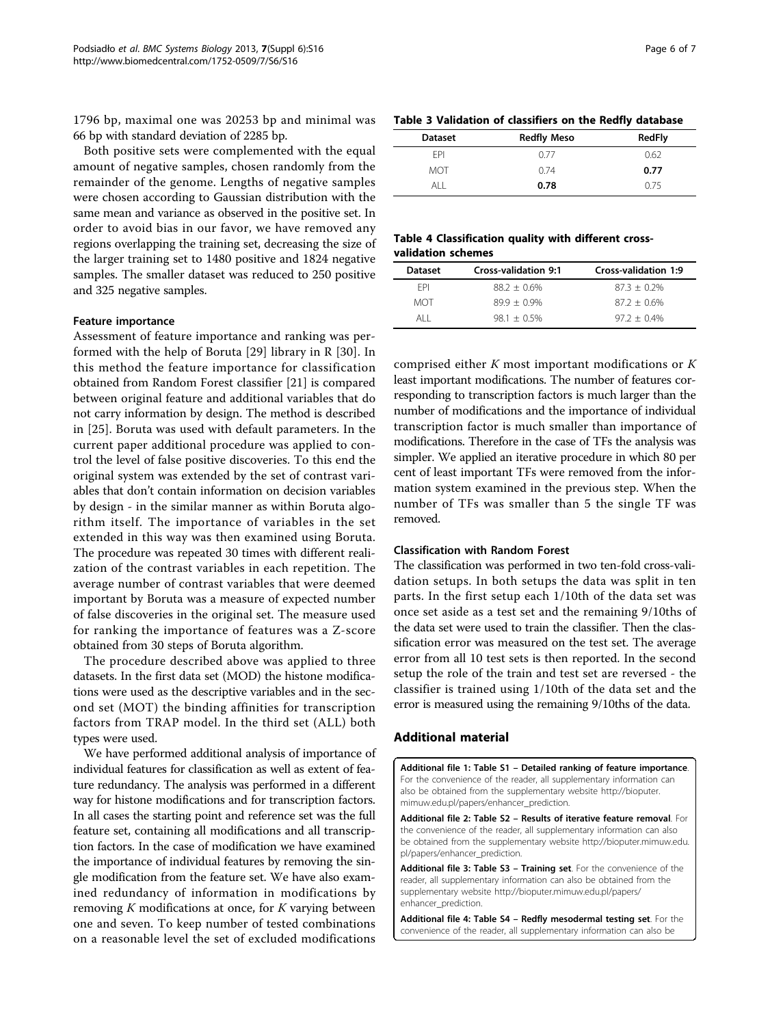<span id="page-5-0"></span>1796 bp, maximal one was 20253 bp and minimal was 66 bp with standard deviation of 2285 bp.

Both positive sets were complemented with the equal amount of negative samples, chosen randomly from the remainder of the genome. Lengths of negative samples were chosen according to Gaussian distribution with the same mean and variance as observed in the positive set. In order to avoid bias in our favor, we have removed any regions overlapping the training set, decreasing the size of the larger training set to 1480 positive and 1824 negative samples. The smaller dataset was reduced to 250 positive and 325 negative samples.

# Feature importance

Assessment of feature importance and ranking was performed with the help of Boruta [\[29](#page-6-0)] library in R [\[30](#page-6-0)]. In this method the feature importance for classification obtained from Random Forest classifier [[21\]](#page-6-0) is compared between original feature and additional variables that do not carry information by design. The method is described in [[25](#page-6-0)]. Boruta was used with default parameters. In the current paper additional procedure was applied to control the level of false positive discoveries. To this end the original system was extended by the set of contrast variables that don't contain information on decision variables by design - in the similar manner as within Boruta algorithm itself. The importance of variables in the set extended in this way was then examined using Boruta. The procedure was repeated 30 times with different realization of the contrast variables in each repetition. The average number of contrast variables that were deemed important by Boruta was a measure of expected number of false discoveries in the original set. The measure used for ranking the importance of features was a Z-score obtained from 30 steps of Boruta algorithm.

The procedure described above was applied to three datasets. In the first data set (MOD) the histone modifications were used as the descriptive variables and in the second set (MOT) the binding affinities for transcription factors from TRAP model. In the third set (ALL) both types were used.

We have performed additional analysis of importance of individual features for classification as well as extent of feature redundancy. The analysis was performed in a different way for histone modifications and for transcription factors. In all cases the starting point and reference set was the full feature set, containing all modifications and all transcription factors. In the case of modification we have examined the importance of individual features by removing the single modification from the feature set. We have also examined redundancy of information in modifications by removing  $K$  modifications at once, for  $K$  varying between one and seven. To keep number of tested combinations on a reasonable level the set of excluded modifications

|  |  | Table 3 Validation of classifiers on the Redfly database |  |  |  |
|--|--|----------------------------------------------------------|--|--|--|
|--|--|----------------------------------------------------------|--|--|--|

| <b>Dataset</b> | <b>Redfly Meso</b> | <b>RedFly</b> |
|----------------|--------------------|---------------|
| <b>FPI</b>     | 0.77               | 0.62          |
| <b>MOT</b>     | 0.74               | 0.77          |
| AI I           | 0.78               | 0.75          |

# Table 4 Classification quality with different crossvalidation schemes

| Dataset    | <b>Cross-validation 9:1</b> | Cross-validation 1:9 |
|------------|-----------------------------|----------------------|
| <b>FPI</b> | $88.2 + 0.6\%$              | $87.3 + 0.2\%$       |
| MOT        | $89.9 + 0.9\%$              | $87.2 + 0.6\%$       |
| AI I       | $981 + 05\%$                | $97.2 + 0.4\%$       |

comprised either  $K$  most important modifications or  $K$ least important modifications. The number of features corresponding to transcription factors is much larger than the number of modifications and the importance of individual transcription factor is much smaller than importance of modifications. Therefore in the case of TFs the analysis was simpler. We applied an iterative procedure in which 80 per cent of least important TFs were removed from the information system examined in the previous step. When the number of TFs was smaller than 5 the single TF was removed.

#### Classification with Random Forest

The classification was performed in two ten-fold cross-validation setups. In both setups the data was split in ten parts. In the first setup each 1/10th of the data set was once set aside as a test set and the remaining 9/10ths of the data set were used to train the classifier. Then the classification error was measured on the test set. The average error from all 10 test sets is then reported. In the second setup the role of the train and test set are reversed - the classifier is trained using 1/10th of the data set and the error is measured using the remaining 9/10ths of the data.

## Additional material

[Additional file 1: T](http://www.biomedcentral.com/content/supplementary/1752-0509-7-S6-S16-S1.PDF)able S1 – Detailed ranking of feature importance. For the convenience of the reader, all supplementary information can also be obtained from the supplementary website [http://bioputer.](http://creativecommons.org/publicdomain/zero/1.0/) [mimuw.edu.pl/papers/enhancer\\_prediction.](http://creativecommons.org/publicdomain/zero/1.0/)

[Additional file 2: T](http://www.biomedcentral.com/content/supplementary/1752-0509-7-S6-S16-S2.PDF)able S2 - Results of iterative feature removal. For the convenience of the reader, all supplementary information can also be obtained from the supplementary website [http://bioputer.mimuw.edu.](http://bioputer.mimuw.edu.pl/papers/enhancer_prediction) [pl/papers/enhancer\\_prediction.](http://bioputer.mimuw.edu.pl/papers/enhancer_prediction)

[Additional file 3: T](http://www.biomedcentral.com/content/supplementary/1752-0509-7-S6-S16-S3.zip)able S3 - Training set. For the convenience of the reader, all supplementary information can also be obtained from the supplementary website [http://bioputer.mimuw.edu.pl/papers/](http://bioputer.mimuw.edu.pl/papers/enhancer_prediction) [enhancer\\_prediction](http://bioputer.mimuw.edu.pl/papers/enhancer_prediction).

[Additional file 4: T](http://www.biomedcentral.com/content/supplementary/1752-0509-7-S6-S16-S4.csv)able S4 - Redfly mesodermal testing set. For the convenience of the reader, all supplementary information can also be